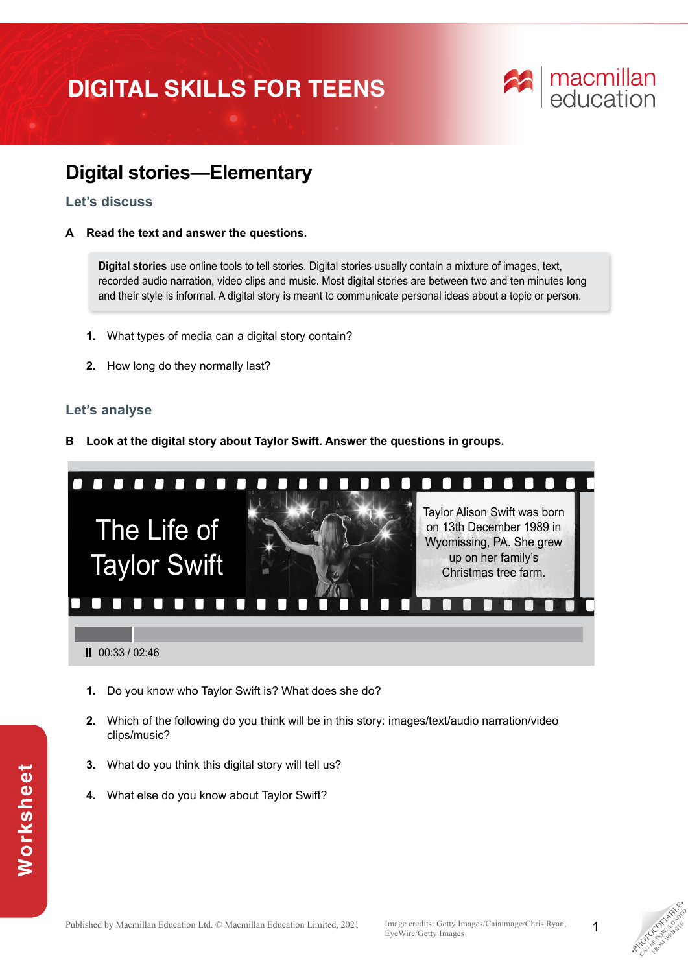# **DIGITAL SKILLS FOR TEENS**



# **Digital stories—Elementary**

### **Let's discuss**

**A Read the text and answer the questions.** 

**Digital stories** use online tools to tell stories. Digital stories usually contain a mixture of images, text, recorded audio narration, video clips and music. Most digital stories are between two and ten minutes long and their style is informal. A digital story is meant to communicate personal ideas about a topic or person.

- **1.** What types of media can a digital story contain?
- **2.** How long do they normally last?

## **Let's analyse**

**B Look at the digital story about Taylor Swift. Answer the questions in groups.**



- **1.** Do you know who Taylor Swift is? What does she do?
- **2.** Which of the following do you think will be in this story: images/text/audio narration/video clips/music?
- **3.** What do you think this digital story will tell us?
- **4.** What else do you know about Taylor Swift?